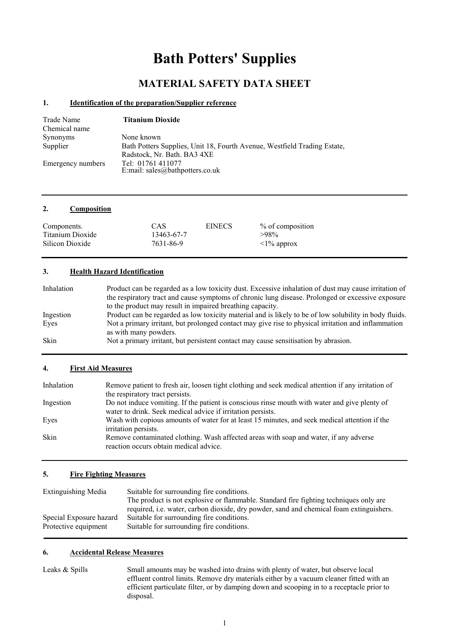# **Bath Potters' Supplies**

# **MATERIAL SAFETY DATA SHEET**

#### **1. Identification of the preparation/Supplier reference**

| Trade Name<br>Chemical name | <b>Titanium Dioxide</b>                                                  |
|-----------------------------|--------------------------------------------------------------------------|
| <b>Synonyms</b>             | None known                                                               |
| Supplier                    | Bath Potters Supplies, Unit 18, Fourth Avenue, Westfield Trading Estate, |
|                             | Radstock, Nr. Bath. BA3 4XE                                              |
| Emergency numbers           | Tel: 01761 411077                                                        |
|                             | E:mail: sales@bathpotters.co.uk                                          |

#### **2. Composition**

| Components.      | CAS        | <b>EINECS</b> | % of composition |
|------------------|------------|---------------|------------------|
| Titanium Dioxide | 13463-67-7 |               | $>98\%$          |
| Silicon Dioxide  | 7631-86-9  |               | $\leq$ 1% approx |

#### **3. Health Hazard Identification**

| Inhalation  | Product can be regarded as a low toxicity dust. Excessive inhalation of dust may cause irritation of<br>the respiratory tract and cause symptoms of chronic lung disease. Prolonged or excessive exposure |
|-------------|-----------------------------------------------------------------------------------------------------------------------------------------------------------------------------------------------------------|
|             | to the product may result in impaired breathing capacity.                                                                                                                                                 |
| Ingestion   | Product can be regarded as low toxicity material and is likely to be of low solubility in body fluids.                                                                                                    |
| Eves        | Not a primary irritant, but prolonged contact may give rise to physical irritation and inflammation<br>as with many powders.                                                                              |
| <b>Skin</b> | Not a primary irritant, but persistent contact may cause sensitisation by abrasion.                                                                                                                       |

#### **4. First Aid Measures**

| Inhalation  | Remove patient to fresh air, loosen tight clothing and seek medical attention if any irritation of                                                           |
|-------------|--------------------------------------------------------------------------------------------------------------------------------------------------------------|
|             | the respiratory tract persists.                                                                                                                              |
| Ingestion   | Do not induce vomiting. If the patient is conscious rinse mouth with water and give plenty of<br>water to drink. Seek medical advice if irritation persists. |
| Eyes        | Wash with copious amounts of water for at least 15 minutes, and seek medical attention if the<br>irritation persists.                                        |
| <b>Skin</b> | Remove contaminated clothing. Wash affected areas with soap and water, if any adverse<br>reaction occurs obtain medical advice.                              |

# **5. Fire Fighting Measures**

| <b>Extinguishing Media</b> | Suitable for surrounding fire conditions.                                               |
|----------------------------|-----------------------------------------------------------------------------------------|
|                            | The product is not explosive or flammable. Standard fire fighting techniques only are   |
|                            | required, i.e. water, carbon dioxide, dry powder, sand and chemical foam extinguishers. |
| Special Exposure hazard    | Suitable for surrounding fire conditions.                                               |
| Protective equipment       | Suitable for surrounding fire conditions.                                               |
|                            |                                                                                         |

#### **6. Accidental Release Measures**

Leaks & Spills Small amounts may be washed into drains with plenty of water, but observe local effluent control limits. Remove dry materials either by a vacuum cleaner fitted with an efficient particulate filter, or by damping down and scooping in to a receptacle prior to disposal.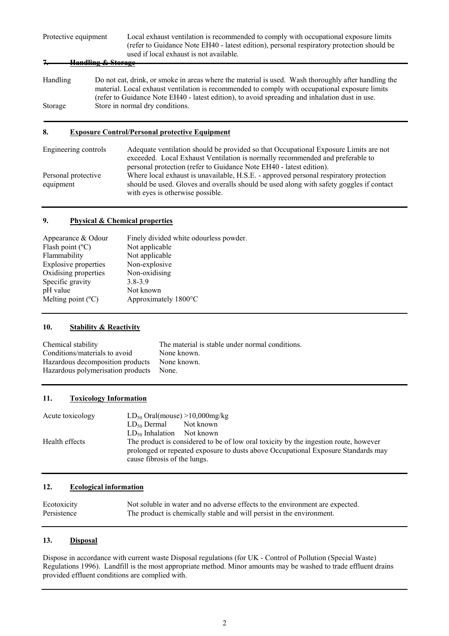| Protective equipment | Local exhaust ventilation is recommended to comply with occupational exposure limits<br>(refer to Guidance Note EH40 - latest edition), personal respiratory protection should be<br>used if local exhaust is not available.<br>Handling & Starage                                                      |
|----------------------|---------------------------------------------------------------------------------------------------------------------------------------------------------------------------------------------------------------------------------------------------------------------------------------------------------|
|                      |                                                                                                                                                                                                                                                                                                         |
| Handling             | Do not eat, drink, or smoke in areas where the material is used. Wash thoroughly after handling the<br>material. Local exhaust ventilation is recommended to comply with occupational exposure limits<br>(refer to Guidance Note EH40 - latest edition), to avoid spreading and inhalation dust in use. |
| Storage              | Store in normal dry conditions.                                                                                                                                                                                                                                                                         |
|                      |                                                                                                                                                                                                                                                                                                         |

# **8. Exposure Control/Personal protective Equipment**

| Engineering controls | Adequate ventilation should be provided so that Occupational Exposure Limits are not<br>exceeded. Local Exhaust Ventilation is normally recommended and preferable to<br>personal protection (refer to Guidance Note EH40 - latest edition). |
|----------------------|----------------------------------------------------------------------------------------------------------------------------------------------------------------------------------------------------------------------------------------------|
| Personal protective  | Where local exhaust is unavailable, H.S.E. - approved personal respiratory protection                                                                                                                                                        |
| equipment            | should be used. Gloves and overalls should be used along with safety goggles if contact                                                                                                                                                      |
|                      | with eyes is otherwise possible.                                                                                                                                                                                                             |

#### **9. Physical & Chemical properties**

| Appearance & Odour          | Finely divided white odourless powder. |
|-----------------------------|----------------------------------------|
| Flash point $(^{\circ}C)$   | Not applicable                         |
| Flammability                | Not applicable                         |
| <b>Explosive properties</b> | Non-explosive                          |
| Oxidising properties        | Non-oxidising                          |
| Specific gravity            | $3.8 - 3.9$                            |
| pH value                    | Not known                              |
| Melting point $(^{\circ}C)$ | Approximately 1800°C                   |
|                             |                                        |

#### **10. Stability & Reactivity**

| Chemical stability                | The material is stable under normal conditions. |
|-----------------------------------|-------------------------------------------------|
| Conditions/materials to avoid     | None known.                                     |
| Hazardous decomposition products  | None known.                                     |
| Hazardous polymerisation products | None.                                           |

# **11. Toxicology Information**

| Acute toxicology | $LD_{50}$ Oral(mouse) >10,000mg/kg                                                                                                                                                                        |  |  |
|------------------|-----------------------------------------------------------------------------------------------------------------------------------------------------------------------------------------------------------|--|--|
|                  | $LD_{50}$ Dermal<br>Not known                                                                                                                                                                             |  |  |
|                  | $LD_{50}$ Inhalation Not known                                                                                                                                                                            |  |  |
| Health effects   | The product is considered to be of low oral toxicity by the ingestion route, however<br>prolonged or repeated exposure to dusts above Occupational Exposure Standards may<br>cause fibrosis of the lungs. |  |  |

# **12. Ecological information**

| Ecotoxicity | Not soluble in water and no adverse effects to the environment are expected. |
|-------------|------------------------------------------------------------------------------|
| Persistence | The product is chemically stable and will persist in the environment.        |

# **13. Disposal**

Dispose in accordance with current waste Disposal regulations (for UK - Control of Pollution (Special Waste) Regulations 1996). Landfill is the most appropriate method. Minor amounts may be washed to trade effluent drains provided effluent conditions are complied with.